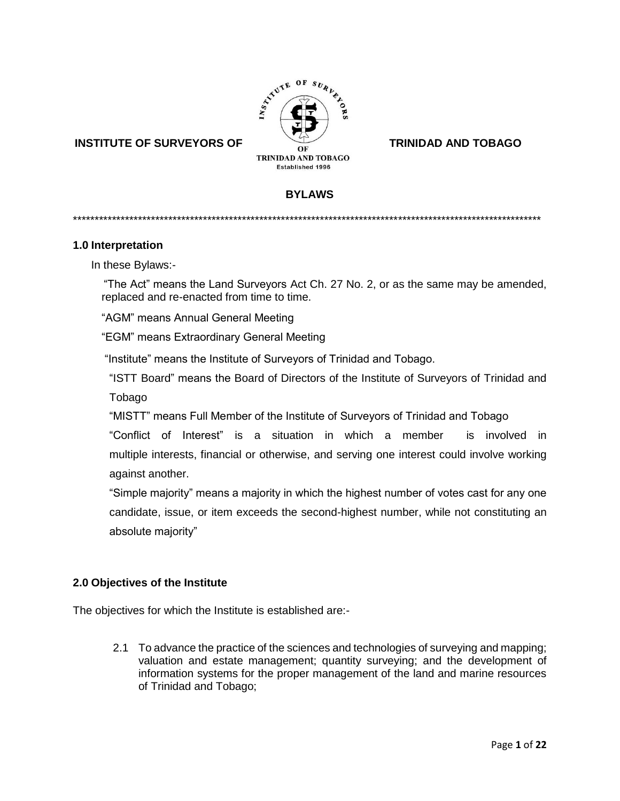

# **INSTITUTE OF SURVEYORS OF TRINIDAD AND TOBAGO**

# **BYLAWS**

\*\*\*\*\*\*\*\*\*\*\*\*\*\*\*\*\*\*\*\*\*\*\*\*\*\*\*\*\*\*\*\*\*\*\*\*\*\*\*\*\*\*\*\*\*\*\*\*\*\*\*\*\*\*\*\*\*\*\*\*\*\*\*\*\*\*\*\*\*\*\*\*\*\*\*\*\*\*\*\*\*\*\*\*\*\*\*\*\*\*\*\*\*\*\*\*\*\*\*\*\*\*\*\*\*\*\*\*

#### **1.0 Interpretation**

In these Bylaws:-

 "The Act" means the Land Surveyors Act Ch. 27 No. 2, or as the same may be amended, replaced and re-enacted from time to time.

"AGM" means Annual General Meeting

"EGM" means Extraordinary General Meeting

"Institute" means the Institute of Surveyors of Trinidad and Tobago.

"ISTT Board" means the Board of Directors of the Institute of Surveyors of Trinidad and

Tobago

"MISTT" means Full Member of the Institute of Surveyors of Trinidad and Tobago

"Conflict of Interest" is a situation in which a [member](https://en.wikipedia.org/wiki/Person) is involved in multiple [interests,](https://en.wiktionary.org/wiki/interest#Noun) [financial](https://en.wikipedia.org/wiki/Finance) or otherwise, and serving one interest could involve working against another.

"Simple majority" means a majority in which the highest number of votes cast for any one candidate, issue, or item exceeds the second-highest number, while not constituting an absolute majority"

## **2.0 Objectives of the Institute**

The objectives for which the Institute is established are:-

2.1 To advance the practice of the sciences and technologies of surveying and mapping; valuation and estate management; quantity surveying; and the development of information systems for the proper management of the land and marine resources of Trinidad and Tobago;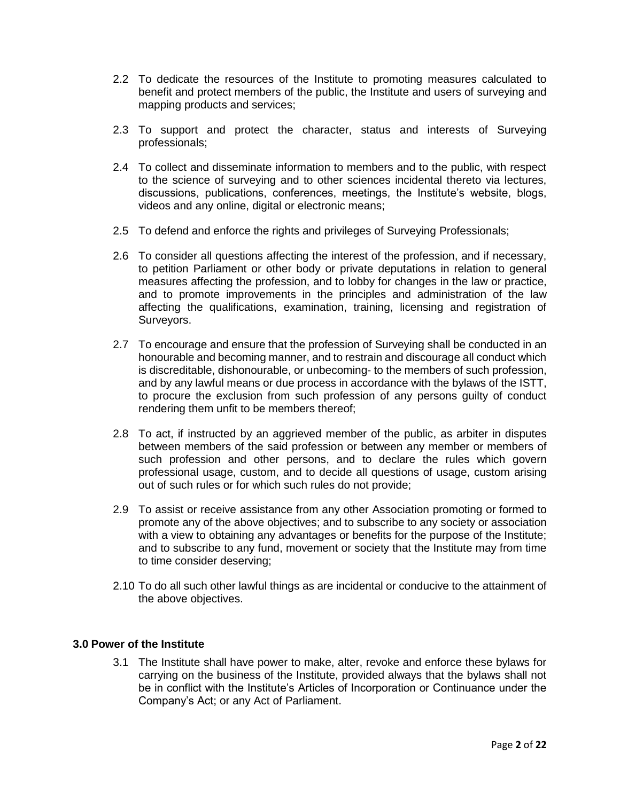- 2.2 To dedicate the resources of the Institute to promoting measures calculated to benefit and protect members of the public, the Institute and users of surveying and mapping products and services;
- 2.3 To support and protect the character, status and interests of Surveying professionals;
- 2.4 To collect and disseminate information to members and to the public, with respect to the science of surveying and to other sciences incidental thereto via lectures, discussions, publications, conferences, meetings, the Institute's website, blogs, videos and any online, digital or electronic means;
- 2.5 To defend and enforce the rights and privileges of Surveying Professionals;
- 2.6 To consider all questions affecting the interest of the profession, and if necessary, to petition Parliament or other body or private deputations in relation to general measures affecting the profession, and to lobby for changes in the law or practice, and to promote improvements in the principles and administration of the law affecting the qualifications, examination, training, licensing and registration of Surveyors.
- 2.7 To encourage and ensure that the profession of Surveying shall be conducted in an honourable and becoming manner, and to restrain and discourage all conduct which is discreditable, dishonourable, or unbecoming- to the members of such profession, and by any lawful means or due process in accordance with the bylaws of the ISTT, to procure the exclusion from such profession of any persons guilty of conduct rendering them unfit to be members thereof;
- 2.8 To act, if instructed by an aggrieved member of the public, as arbiter in disputes between members of the said profession or between any member or members of such profession and other persons, and to declare the rules which govern professional usage, custom, and to decide all questions of usage, custom arising out of such rules or for which such rules do not provide;
- 2.9 To assist or receive assistance from any other Association promoting or formed to promote any of the above objectives; and to subscribe to any society or association with a view to obtaining any advantages or benefits for the purpose of the Institute; and to subscribe to any fund, movement or society that the Institute may from time to time consider deserving;
- 2.10 To do all such other lawful things as are incidental or conducive to the attainment of the above objectives.

## **3.0 Power of the Institute**

3.1 The Institute shall have power to make, alter, revoke and enforce these bylaws for carrying on the business of the Institute, provided always that the bylaws shall not be in conflict with the Institute's Articles of Incorporation or Continuance under the Company's Act; or any Act of Parliament.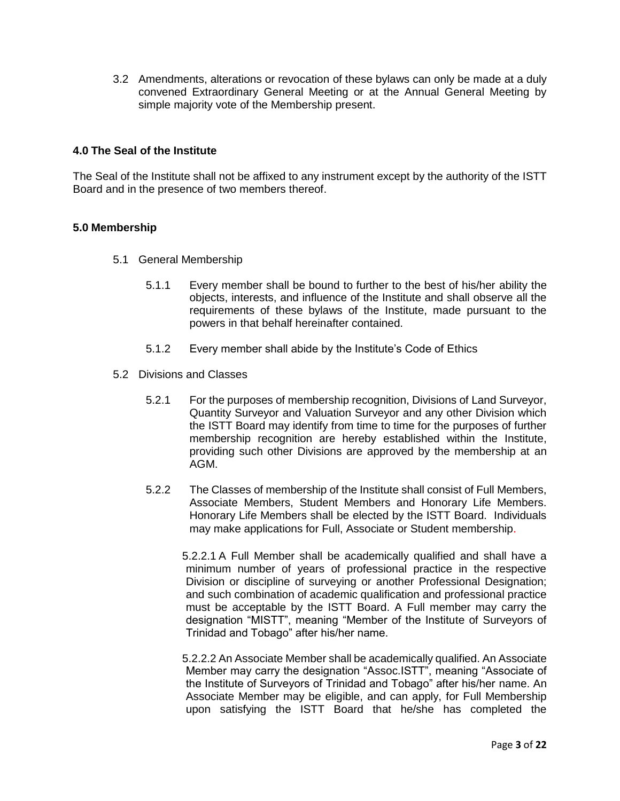3.2 Amendments, alterations or revocation of these bylaws can only be made at a duly convened Extraordinary General Meeting or at the Annual General Meeting by simple majority vote of the Membership present.

# **4.0 The Seal of the Institute**

The Seal of the Institute shall not be affixed to any instrument except by the authority of the ISTT Board and in the presence of two members thereof.

# **5.0 Membership**

- 5.1 General Membership
	- 5.1.1 Every member shall be bound to further to the best of his/her ability the objects, interests, and influence of the Institute and shall observe all the requirements of these bylaws of the Institute, made pursuant to the powers in that behalf hereinafter contained.
	- 5.1.2 Every member shall abide by the Institute's Code of Ethics
- 5.2 Divisions and Classes
	- 5.2.1 For the purposes of membership recognition, Divisions of Land Surveyor, Quantity Surveyor and Valuation Surveyor and any other Division which the ISTT Board may identify from time to time for the purposes of further membership recognition are hereby established within the Institute, providing such other Divisions are approved by the membership at an AGM.
	- 5.2.2 The Classes of membership of the Institute shall consist of Full Members, Associate Members, Student Members and Honorary Life Members. Honorary Life Members shall be elected by the ISTT Board. Individuals may make applications for Full, Associate or Student membership.

5.2.2.1 A Full Member shall be academically qualified and shall have a minimum number of years of professional practice in the respective Division or discipline of surveying or another Professional Designation; and such combination of academic qualification and professional practice must be acceptable by the ISTT Board. A Full member may carry the designation "MISTT", meaning "Member of the Institute of Surveyors of Trinidad and Tobago" after his/her name.

5.2.2.2 An Associate Member shall be academically qualified. An Associate Member may carry the designation "Assoc.ISTT", meaning "Associate of the Institute of Surveyors of Trinidad and Tobago" after his/her name. An Associate Member may be eligible, and can apply, for Full Membership upon satisfying the ISTT Board that he/she has completed the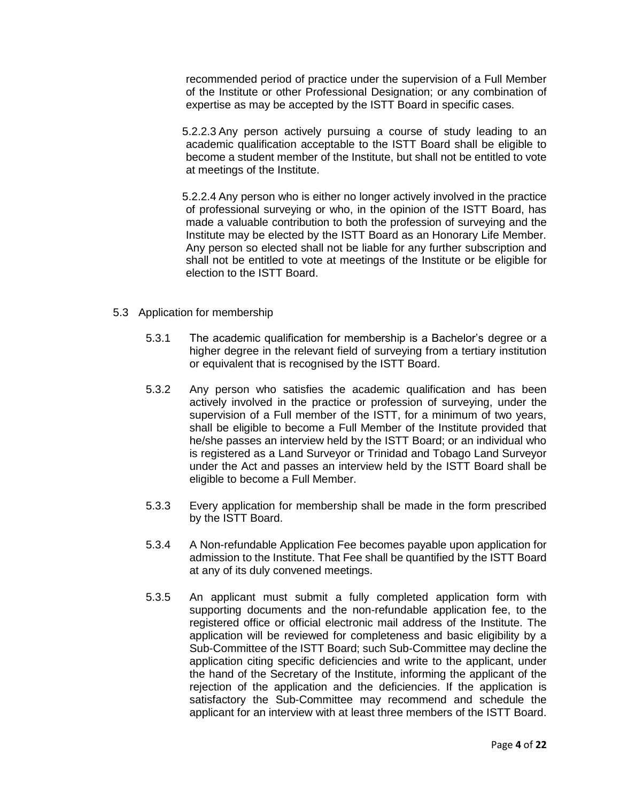recommended period of practice under the supervision of a Full Member of the Institute or other Professional Designation; or any combination of expertise as may be accepted by the ISTT Board in specific cases.

5.2.2.3 Any person actively pursuing a course of study leading to an academic qualification acceptable to the ISTT Board shall be eligible to become a student member of the Institute, but shall not be entitled to vote at meetings of the Institute.

5.2.2.4 Any person who is either no longer actively involved in the practice of professional surveying or who, in the opinion of the ISTT Board, has made a valuable contribution to both the profession of surveying and the Institute may be elected by the ISTT Board as an Honorary Life Member. Any person so elected shall not be liable for any further subscription and shall not be entitled to vote at meetings of the Institute or be eligible for election to the ISTT Board.

- 5.3 Application for membership
	- 5.3.1 The academic qualification for membership is a Bachelor's degree or a higher degree in the relevant field of surveying from a tertiary institution or equivalent that is recognised by the ISTT Board.
	- 5.3.2 Any person who satisfies the academic qualification and has been actively involved in the practice or profession of surveying, under the supervision of a Full member of the ISTT, for a minimum of two years, shall be eligible to become a Full Member of the Institute provided that he/she passes an interview held by the ISTT Board; or an individual who is registered as a Land Surveyor or Trinidad and Tobago Land Surveyor under the Act and passes an interview held by the ISTT Board shall be eligible to become a Full Member.
	- 5.3.3 Every application for membership shall be made in the form prescribed by the ISTT Board.
	- 5.3.4 A Non-refundable Application Fee becomes payable upon application for admission to the Institute. That Fee shall be quantified by the ISTT Board at any of its duly convened meetings.
	- 5.3.5 An applicant must submit a fully completed application form with supporting documents and the non-refundable application fee, to the registered office or official electronic mail address of the Institute. The application will be reviewed for completeness and basic eligibility by a Sub-Committee of the ISTT Board; such Sub-Committee may decline the application citing specific deficiencies and write to the applicant, under the hand of the Secretary of the Institute, informing the applicant of the rejection of the application and the deficiencies. If the application is satisfactory the Sub-Committee may recommend and schedule the applicant for an interview with at least three members of the ISTT Board.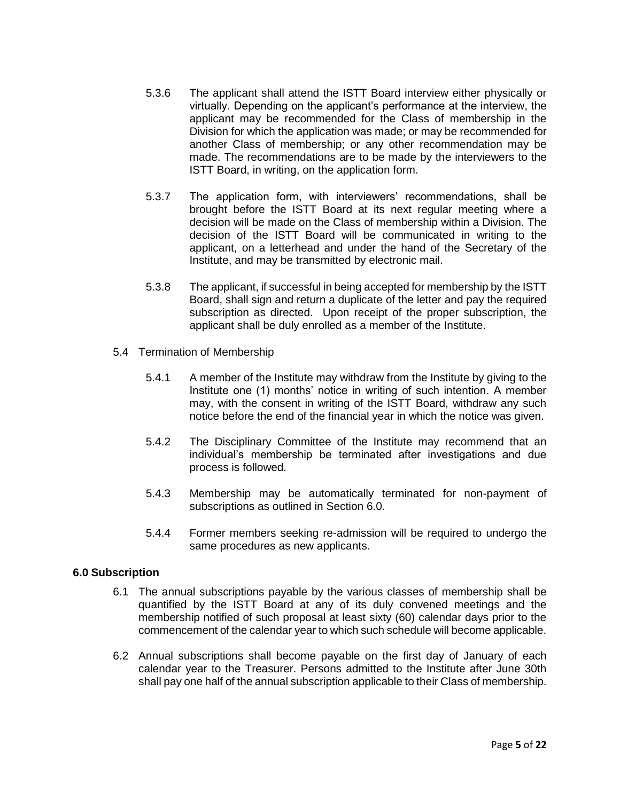- 5.3.6 The applicant shall attend the ISTT Board interview either physically or virtually. Depending on the applicant's performance at the interview, the applicant may be recommended for the Class of membership in the Division for which the application was made; or may be recommended for another Class of membership; or any other recommendation may be made. The recommendations are to be made by the interviewers to the ISTT Board, in writing, on the application form.
- 5.3.7 The application form, with interviewers' recommendations, shall be brought before the ISTT Board at its next regular meeting where a decision will be made on the Class of membership within a Division. The decision of the ISTT Board will be communicated in writing to the applicant, on a letterhead and under the hand of the Secretary of the Institute, and may be transmitted by electronic mail.
- 5.3.8 The applicant, if successful in being accepted for membership by the ISTT Board, shall sign and return a duplicate of the letter and pay the required subscription as directed. Upon receipt of the proper subscription, the applicant shall be duly enrolled as a member of the Institute.
- 5.4 Termination of Membership
	- 5.4.1 A member of the Institute may withdraw from the Institute by giving to the Institute one (1) months' notice in writing of such intention. A member may, with the consent in writing of the ISTT Board, withdraw any such notice before the end of the financial year in which the notice was given.
	- 5.4.2 The Disciplinary Committee of the Institute may recommend that an individual's membership be terminated after investigations and due process is followed.
	- 5.4.3 Membership may be automatically terminated for non-payment of subscriptions as outlined in Section 6.0.
	- 5.4.4 Former members seeking re-admission will be required to undergo the same procedures as new applicants.

## **6.0 Subscription**

- 6.1 The annual subscriptions payable by the various classes of membership shall be quantified by the ISTT Board at any of its duly convened meetings and the membership notified of such proposal at least sixty (60) calendar days prior to the commencement of the calendar year to which such schedule will become applicable.
- 6.2 Annual subscriptions shall become payable on the first day of January of each calendar year to the Treasurer. Persons admitted to the Institute after June 30th shall pay one half of the annual subscription applicable to their Class of membership.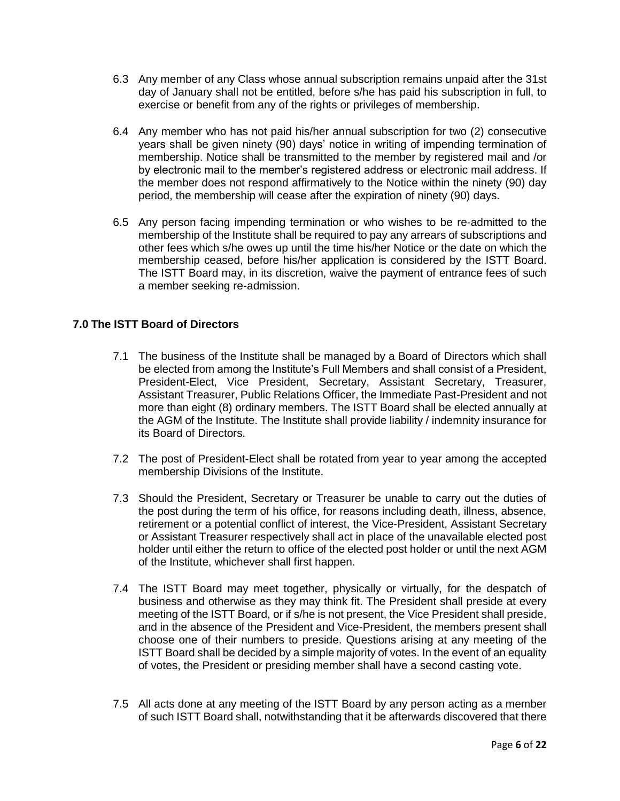- 6.3 Any member of any Class whose annual subscription remains unpaid after the 31st day of January shall not be entitled, before s/he has paid his subscription in full, to exercise or benefit from any of the rights or privileges of membership.
- 6.4 Any member who has not paid his/her annual subscription for two (2) consecutive years shall be given ninety (90) days' notice in writing of impending termination of membership. Notice shall be transmitted to the member by registered mail and /or by electronic mail to the member's registered address or electronic mail address. If the member does not respond affirmatively to the Notice within the ninety (90) day period, the membership will cease after the expiration of ninety (90) days.
- 6.5 Any person facing impending termination or who wishes to be re-admitted to the membership of the Institute shall be required to pay any arrears of subscriptions and other fees which s/he owes up until the time his/her Notice or the date on which the membership ceased, before his/her application is considered by the ISTT Board. The ISTT Board may, in its discretion, waive the payment of entrance fees of such a member seeking re-admission.

# **7.0 The ISTT Board of Directors**

- 7.1 The business of the Institute shall be managed by a Board of Directors which shall be elected from among the Institute's Full Members and shall consist of a President, President-Elect, Vice President, Secretary, Assistant Secretary, Treasurer, Assistant Treasurer, Public Relations Officer, the Immediate Past-President and not more than eight (8) ordinary members. The ISTT Board shall be elected annually at the AGM of the Institute. The Institute shall provide liability / indemnity insurance for its Board of Directors.
- 7.2 The post of President-Elect shall be rotated from year to year among the accepted membership Divisions of the Institute.
- 7.3 Should the President, Secretary or Treasurer be unable to carry out the duties of the post during the term of his office, for reasons including death, illness, absence, retirement or a potential conflict of interest, the Vice-President, Assistant Secretary or Assistant Treasurer respectively shall act in place of the unavailable elected post holder until either the return to office of the elected post holder or until the next AGM of the Institute, whichever shall first happen.
- 7.4 The ISTT Board may meet together, physically or virtually, for the despatch of business and otherwise as they may think fit. The President shall preside at every meeting of the ISTT Board, or if s/he is not present, the Vice President shall preside, and in the absence of the President and Vice-President, the members present shall choose one of their numbers to preside. Questions arising at any meeting of the ISTT Board shall be decided by a simple majority of votes. In the event of an equality of votes, the President or presiding member shall have a second casting vote.
- 7.5 All acts done at any meeting of the ISTT Board by any person acting as a member of such ISTT Board shall, notwithstanding that it be afterwards discovered that there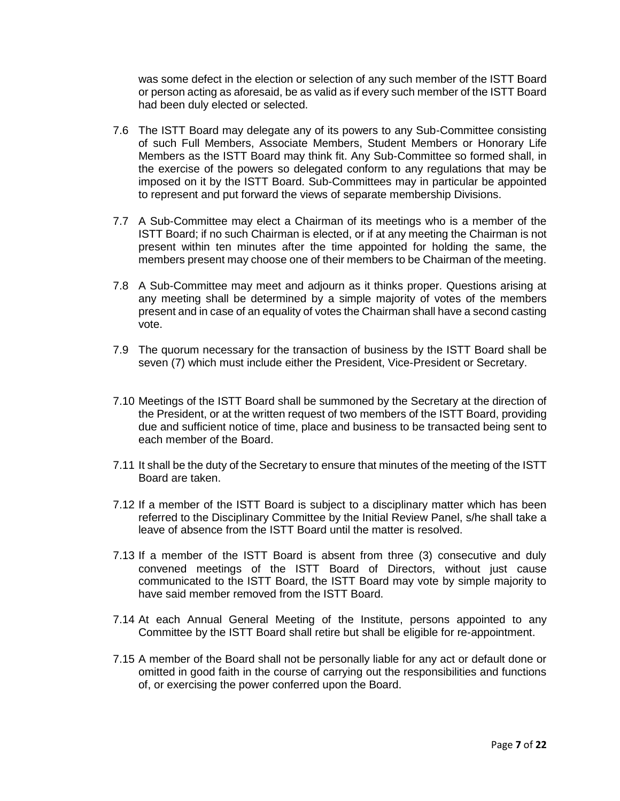was some defect in the election or selection of any such member of the ISTT Board or person acting as aforesaid, be as valid as if every such member of the ISTT Board had been duly elected or selected.

- 7.6 The ISTT Board may delegate any of its powers to any Sub-Committee consisting of such Full Members, Associate Members, Student Members or Honorary Life Members as the ISTT Board may think fit. Any Sub-Committee so formed shall, in the exercise of the powers so delegated conform to any regulations that may be imposed on it by the ISTT Board. Sub-Committees may in particular be appointed to represent and put forward the views of separate membership Divisions.
- 7.7 A Sub-Committee may elect a Chairman of its meetings who is a member of the ISTT Board; if no such Chairman is elected, or if at any meeting the Chairman is not present within ten minutes after the time appointed for holding the same, the members present may choose one of their members to be Chairman of the meeting.
- 7.8 A Sub-Committee may meet and adjourn as it thinks proper. Questions arising at any meeting shall be determined by a simple majority of votes of the members present and in case of an equality of votes the Chairman shall have a second casting vote.
- 7.9 The quorum necessary for the transaction of business by the ISTT Board shall be seven (7) which must include either the President, Vice-President or Secretary.
- 7.10 Meetings of the ISTT Board shall be summoned by the Secretary at the direction of the President, or at the written request of two members of the ISTT Board, providing due and sufficient notice of time, place and business to be transacted being sent to each member of the Board.
- 7.11 It shall be the duty of the Secretary to ensure that minutes of the meeting of the ISTT Board are taken.
- 7.12 If a member of the ISTT Board is subject to a disciplinary matter which has been referred to the Disciplinary Committee by the Initial Review Panel, s/he shall take a leave of absence from the ISTT Board until the matter is resolved.
- 7.13 If a member of the ISTT Board is absent from three (3) consecutive and duly convened meetings of the ISTT Board of Directors, without just cause communicated to the ISTT Board, the ISTT Board may vote by simple majority to have said member removed from the ISTT Board.
- 7.14 At each Annual General Meeting of the Institute, persons appointed to any Committee by the ISTT Board shall retire but shall be eligible for re-appointment.
- 7.15 A member of the Board shall not be personally liable for any act or default done or omitted in good faith in the course of carrying out the responsibilities and functions of, or exercising the power conferred upon the Board.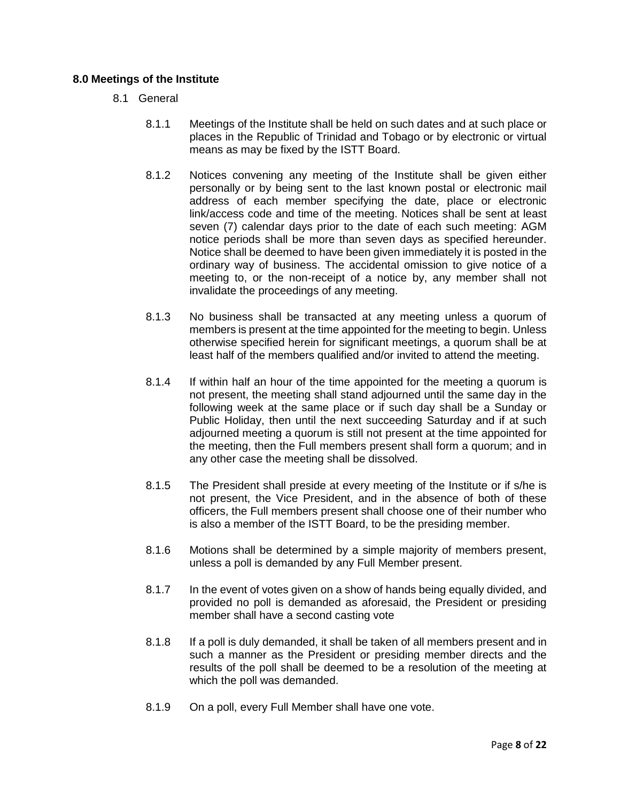# **8.0 Meetings of the Institute**

- 8.1 General
	- 8.1.1 Meetings of the Institute shall be held on such dates and at such place or places in the Republic of Trinidad and Tobago or by electronic or virtual means as may be fixed by the ISTT Board.
	- 8.1.2 Notices convening any meeting of the Institute shall be given either personally or by being sent to the last known postal or electronic mail address of each member specifying the date, place or electronic link/access code and time of the meeting. Notices shall be sent at least seven (7) calendar days prior to the date of each such meeting: AGM notice periods shall be more than seven days as specified hereunder. Notice shall be deemed to have been given immediately it is posted in the ordinary way of business. The accidental omission to give notice of a meeting to, or the non-receipt of a notice by, any member shall not invalidate the proceedings of any meeting.
	- 8.1.3 No business shall be transacted at any meeting unless a quorum of members is present at the time appointed for the meeting to begin. Unless otherwise specified herein for significant meetings, a quorum shall be at least half of the members qualified and/or invited to attend the meeting.
	- 8.1.4 If within half an hour of the time appointed for the meeting a quorum is not present, the meeting shall stand adjourned until the same day in the following week at the same place or if such day shall be a Sunday or Public Holiday, then until the next succeeding Saturday and if at such adjourned meeting a quorum is still not present at the time appointed for the meeting, then the Full members present shall form a quorum; and in any other case the meeting shall be dissolved.
	- 8.1.5 The President shall preside at every meeting of the Institute or if s/he is not present, the Vice President, and in the absence of both of these officers, the Full members present shall choose one of their number who is also a member of the ISTT Board, to be the presiding member.
	- 8.1.6 Motions shall be determined by a simple majority of members present, unless a poll is demanded by any Full Member present.
	- 8.1.7 In the event of votes given on a show of hands being equally divided, and provided no poll is demanded as aforesaid, the President or presiding member shall have a second casting vote
	- 8.1.8 If a poll is duly demanded, it shall be taken of all members present and in such a manner as the President or presiding member directs and the results of the poll shall be deemed to be a resolution of the meeting at which the poll was demanded.
	- 8.1.9 On a poll, every Full Member shall have one vote.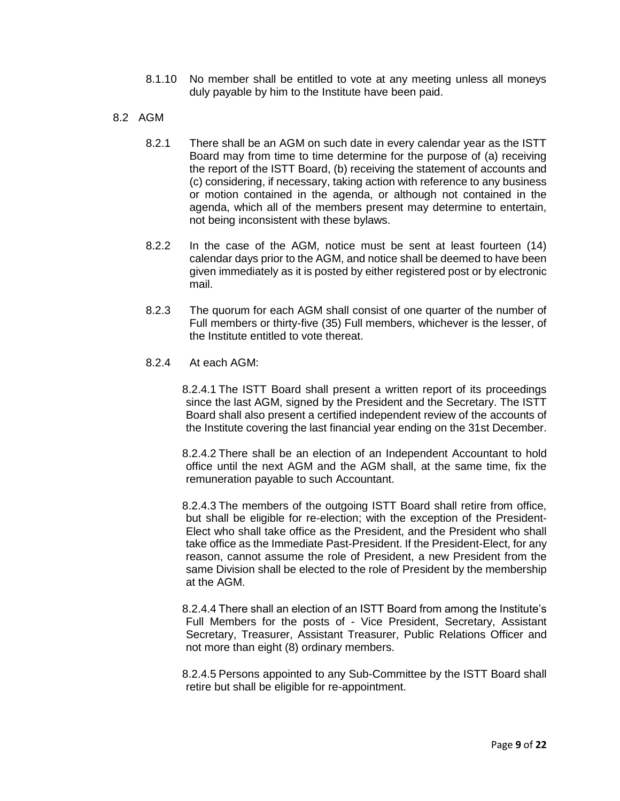- 8.1.10 No member shall be entitled to vote at any meeting unless all moneys duly payable by him to the Institute have been paid.
- 8.2 AGM
	- 8.2.1 There shall be an AGM on such date in every calendar year as the ISTT Board may from time to time determine for the purpose of (a) receiving the report of the ISTT Board, (b) receiving the statement of accounts and (c) considering, if necessary, taking action with reference to any business or motion contained in the agenda, or although not contained in the agenda, which all of the members present may determine to entertain, not being inconsistent with these bylaws.
	- 8.2.2 In the case of the AGM, notice must be sent at least fourteen (14) calendar days prior to the AGM, and notice shall be deemed to have been given immediately as it is posted by either registered post or by electronic mail.
	- 8.2.3 The quorum for each AGM shall consist of one quarter of the number of Full members or thirty-five (35) Full members, whichever is the lesser, of the Institute entitled to vote thereat.
	- 8.2.4 At each AGM:

8.2.4.1 The ISTT Board shall present a written report of its proceedings since the last AGM, signed by the President and the Secretary. The ISTT Board shall also present a certified independent review of the accounts of the Institute covering the last financial year ending on the 31st December.

8.2.4.2 There shall be an election of an Independent Accountant to hold office until the next AGM and the AGM shall, at the same time, fix the remuneration payable to such Accountant.

8.2.4.3 The members of the outgoing ISTT Board shall retire from office, but shall be eligible for re-election; with the exception of the President-Elect who shall take office as the President, and the President who shall take office as the Immediate Past-President. If the President-Elect, for any reason, cannot assume the role of President, a new President from the same Division shall be elected to the role of President by the membership at the AGM.

8.2.4.4 There shall an election of an ISTT Board from among the Institute's Full Members for the posts of - Vice President, Secretary, Assistant Secretary, Treasurer, Assistant Treasurer, Public Relations Officer and not more than eight (8) ordinary members.

8.2.4.5 Persons appointed to any Sub-Committee by the ISTT Board shall retire but shall be eligible for re-appointment.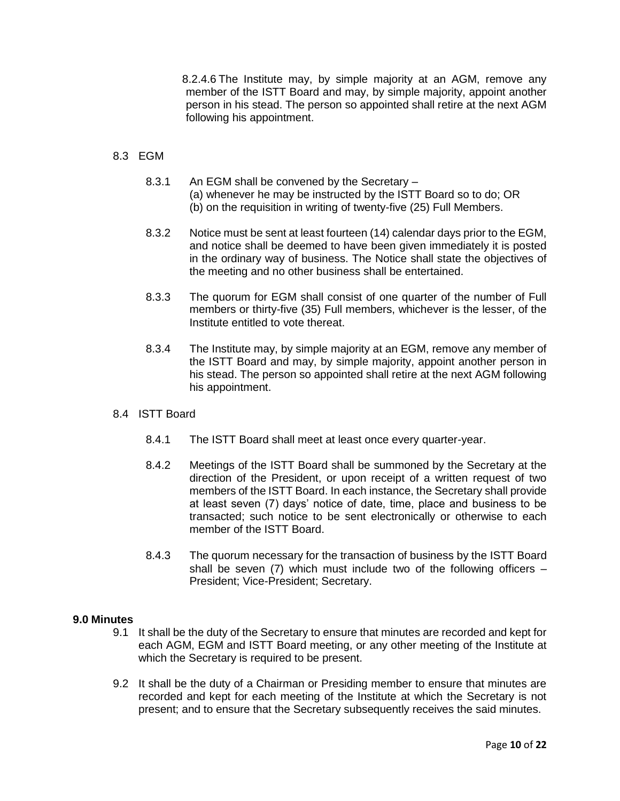8.2.4.6 The Institute may, by simple majority at an AGM, remove any member of the ISTT Board and may, by simple majority, appoint another person in his stead. The person so appointed shall retire at the next AGM following his appointment.

# 8.3 EGM

- 8.3.1 An EGM shall be convened by the Secretary (a) whenever he may be instructed by the ISTT Board so to do; OR (b) on the requisition in writing of twenty-five (25) Full Members.
- 8.3.2 Notice must be sent at least fourteen (14) calendar days prior to the EGM, and notice shall be deemed to have been given immediately it is posted in the ordinary way of business. The Notice shall state the objectives of the meeting and no other business shall be entertained.
- 8.3.3 The quorum for EGM shall consist of one quarter of the number of Full members or thirty-five (35) Full members, whichever is the lesser, of the Institute entitled to vote thereat.
- 8.3.4 The Institute may, by simple majority at an EGM, remove any member of the ISTT Board and may, by simple majority, appoint another person in his stead. The person so appointed shall retire at the next AGM following his appointment.

## 8.4 ISTT Board

- 8.4.1 The ISTT Board shall meet at least once every quarter-year.
- 8.4.2 Meetings of the ISTT Board shall be summoned by the Secretary at the direction of the President, or upon receipt of a written request of two members of the ISTT Board. In each instance, the Secretary shall provide at least seven (7) days' notice of date, time, place and business to be transacted; such notice to be sent electronically or otherwise to each member of the ISTT Board.
- 8.4.3 The quorum necessary for the transaction of business by the ISTT Board shall be seven  $(7)$  which must include two of the following officers  $-$ President; Vice-President; Secretary.

## **9.0 Minutes**

- 9.1 It shall be the duty of the Secretary to ensure that minutes are recorded and kept for each AGM, EGM and ISTT Board meeting, or any other meeting of the Institute at which the Secretary is required to be present.
- 9.2 It shall be the duty of a Chairman or Presiding member to ensure that minutes are recorded and kept for each meeting of the Institute at which the Secretary is not present; and to ensure that the Secretary subsequently receives the said minutes.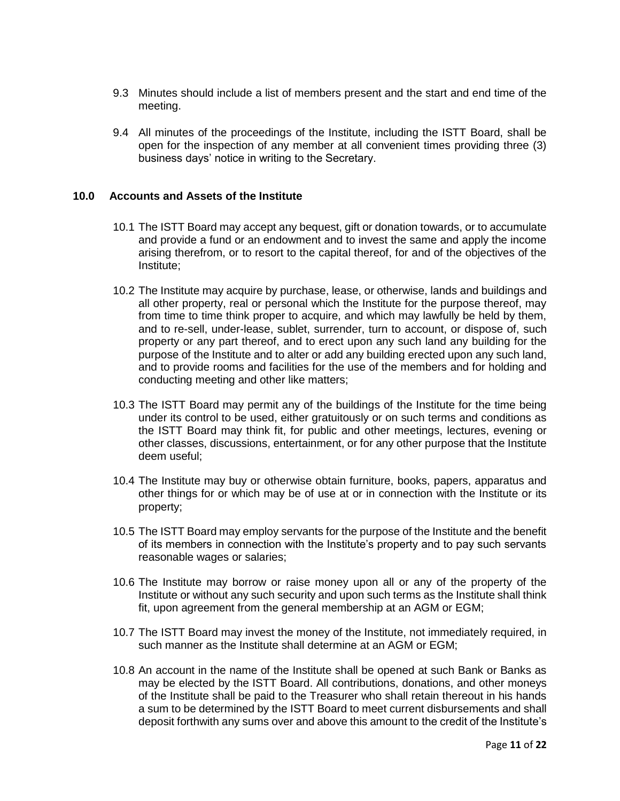- 9.3 Minutes should include a list of members present and the start and end time of the meeting.
- 9.4 All minutes of the proceedings of the Institute, including the ISTT Board, shall be open for the inspection of any member at all convenient times providing three (3) business days' notice in writing to the Secretary.

## **10.0 Accounts and Assets of the Institute**

- 10.1 The ISTT Board may accept any bequest, gift or donation towards, or to accumulate and provide a fund or an endowment and to invest the same and apply the income arising therefrom, or to resort to the capital thereof, for and of the objectives of the Institute;
- 10.2 The Institute may acquire by purchase, lease, or otherwise, lands and buildings and all other property, real or personal which the Institute for the purpose thereof, may from time to time think proper to acquire, and which may lawfully be held by them, and to re-sell, under-lease, sublet, surrender, turn to account, or dispose of, such property or any part thereof, and to erect upon any such land any building for the purpose of the Institute and to alter or add any building erected upon any such land, and to provide rooms and facilities for the use of the members and for holding and conducting meeting and other like matters;
- 10.3 The ISTT Board may permit any of the buildings of the Institute for the time being under its control to be used, either gratuitously or on such terms and conditions as the ISTT Board may think fit, for public and other meetings, lectures, evening or other classes, discussions, entertainment, or for any other purpose that the Institute deem useful;
- 10.4 The Institute may buy or otherwise obtain furniture, books, papers, apparatus and other things for or which may be of use at or in connection with the Institute or its property;
- 10.5 The ISTT Board may employ servants for the purpose of the Institute and the benefit of its members in connection with the Institute's property and to pay such servants reasonable wages or salaries;
- 10.6 The Institute may borrow or raise money upon all or any of the property of the Institute or without any such security and upon such terms as the Institute shall think fit, upon agreement from the general membership at an AGM or EGM;
- 10.7 The ISTT Board may invest the money of the Institute, not immediately required, in such manner as the Institute shall determine at an AGM or EGM;
- 10.8 An account in the name of the Institute shall be opened at such Bank or Banks as may be elected by the ISTT Board. All contributions, donations, and other moneys of the Institute shall be paid to the Treasurer who shall retain thereout in his hands a sum to be determined by the ISTT Board to meet current disbursements and shall deposit forthwith any sums over and above this amount to the credit of the Institute's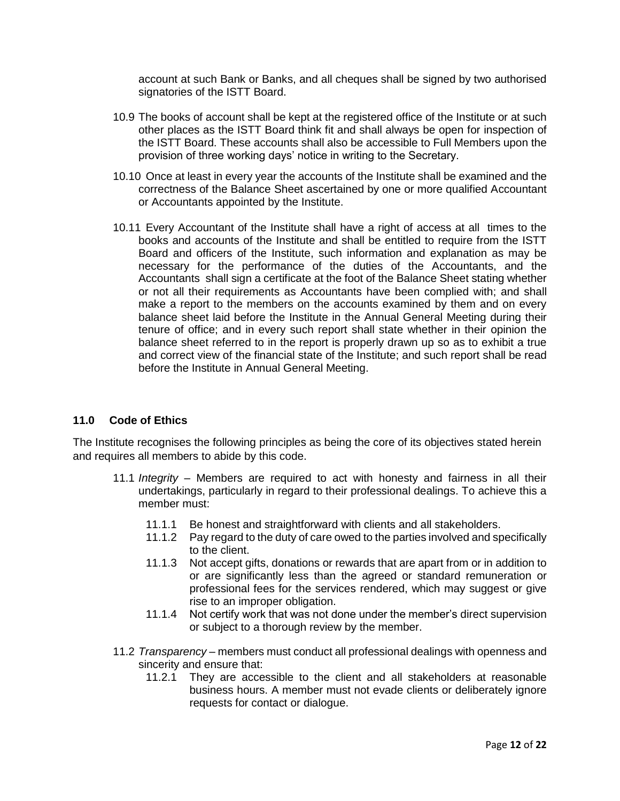account at such Bank or Banks, and all cheques shall be signed by two authorised signatories of the ISTT Board.

- 10.9 The books of account shall be kept at the registered office of the Institute or at such other places as the ISTT Board think fit and shall always be open for inspection of the ISTT Board. These accounts shall also be accessible to Full Members upon the provision of three working days' notice in writing to the Secretary.
- 10.10 Once at least in every year the accounts of the Institute shall be examined and the correctness of the Balance Sheet ascertained by one or more qualified Accountant or Accountants appointed by the Institute.
- 10.11 Every Accountant of the Institute shall have a right of access at all times to the books and accounts of the Institute and shall be entitled to require from the ISTT Board and officers of the Institute, such information and explanation as may be necessary for the performance of the duties of the Accountants, and the Accountants shall sign a certificate at the foot of the Balance Sheet stating whether or not all their requirements as Accountants have been complied with; and shall make a report to the members on the accounts examined by them and on every balance sheet laid before the Institute in the Annual General Meeting during their tenure of office; and in every such report shall state whether in their opinion the balance sheet referred to in the report is properly drawn up so as to exhibit a true and correct view of the financial state of the Institute; and such report shall be read before the Institute in Annual General Meeting.

# **11.0 Code of Ethics**

The Institute recognises the following principles as being the core of its objectives stated herein and requires all members to abide by this code.

- 11.1 *Integrity* Members are required to act with honesty and fairness in all their undertakings, particularly in regard to their professional dealings. To achieve this a member must:
	- 11.1.1 Be honest and straightforward with clients and all stakeholders.
	- 11.1.2 Pay regard to the duty of care owed to the parties involved and specifically to the client.
	- 11.1.3 Not accept gifts, donations or rewards that are apart from or in addition to or are significantly less than the agreed or standard remuneration or professional fees for the services rendered, which may suggest or give rise to an improper obligation.
	- 11.1.4 Not certify work that was not done under the member's direct supervision or subject to a thorough review by the member.
- 11.2 *Transparency* members must conduct all professional dealings with openness and sincerity and ensure that:
	- 11.2.1 They are accessible to the client and all stakeholders at reasonable business hours. A member must not evade clients or deliberately ignore requests for contact or dialogue.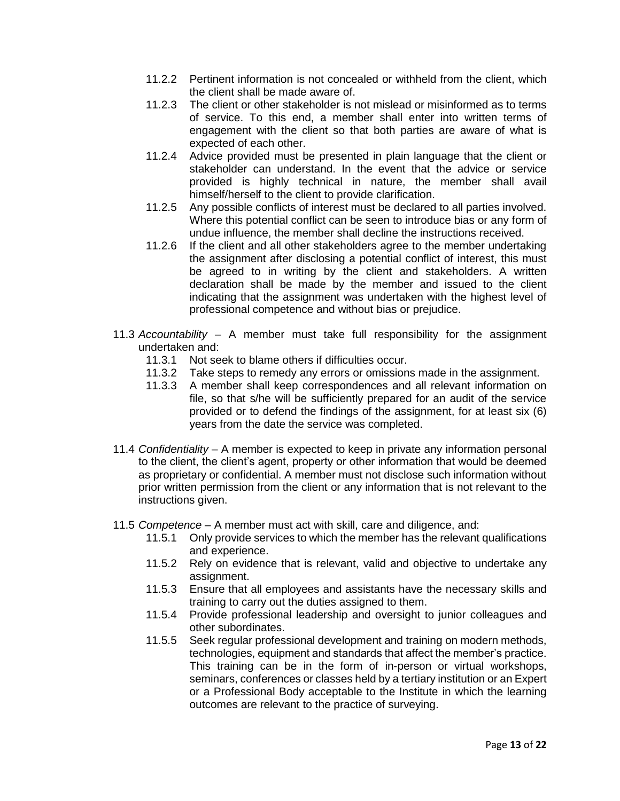- 11.2.2 Pertinent information is not concealed or withheld from the client, which the client shall be made aware of.
- 11.2.3 The client or other stakeholder is not mislead or misinformed as to terms of service. To this end, a member shall enter into written terms of engagement with the client so that both parties are aware of what is expected of each other.
- 11.2.4 Advice provided must be presented in plain language that the client or stakeholder can understand. In the event that the advice or service provided is highly technical in nature, the member shall avail himself/herself to the client to provide clarification.
- 11.2.5 Any possible conflicts of interest must be declared to all parties involved. Where this potential conflict can be seen to introduce bias or any form of undue influence, the member shall decline the instructions received.
- 11.2.6 If the client and all other stakeholders agree to the member undertaking the assignment after disclosing a potential conflict of interest, this must be agreed to in writing by the client and stakeholders. A written declaration shall be made by the member and issued to the client indicating that the assignment was undertaken with the highest level of professional competence and without bias or prejudice.
- 11.3 *Accountability* A member must take full responsibility for the assignment undertaken and:
	- 11.3.1 Not seek to blame others if difficulties occur.
	- 11.3.2 Take steps to remedy any errors or omissions made in the assignment.
	- 11.3.3 A member shall keep correspondences and all relevant information on file, so that s/he will be sufficiently prepared for an audit of the service provided or to defend the findings of the assignment, for at least six (6) years from the date the service was completed.
- 11.4 *Confidentiality* A member is expected to keep in private any information personal to the client, the client's agent, property or other information that would be deemed as proprietary or confidential. A member must not disclose such information without prior written permission from the client or any information that is not relevant to the instructions given.
- 11.5 *Competence* A member must act with skill, care and diligence, and:
	- 11.5.1 Only provide services to which the member has the relevant qualifications and experience.
	- 11.5.2 Rely on evidence that is relevant, valid and objective to undertake any assignment.
	- 11.5.3 Ensure that all employees and assistants have the necessary skills and training to carry out the duties assigned to them.
	- 11.5.4 Provide professional leadership and oversight to junior colleagues and other subordinates.
	- 11.5.5 Seek regular professional development and training on modern methods, technologies, equipment and standards that affect the member's practice. This training can be in the form of in-person or virtual workshops, seminars, conferences or classes held by a tertiary institution or an Expert or a Professional Body acceptable to the Institute in which the learning outcomes are relevant to the practice of surveying.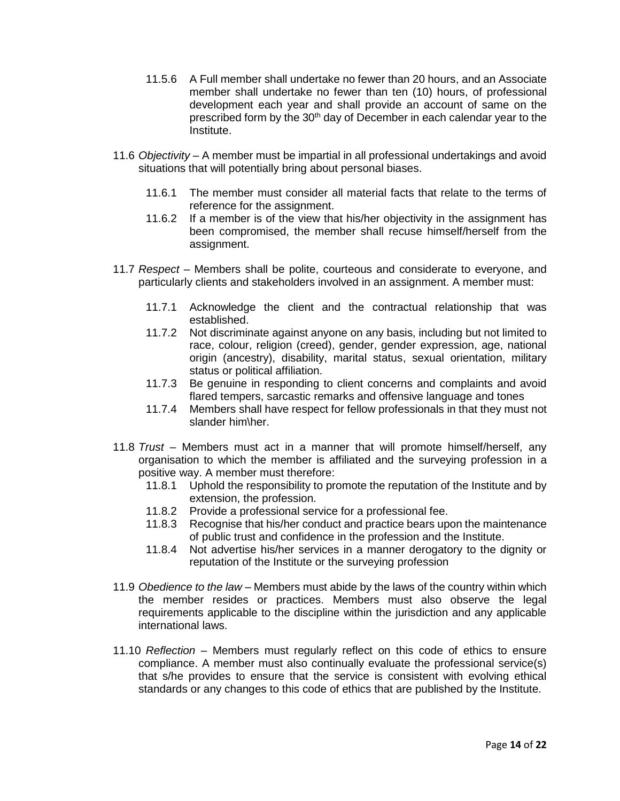- 11.5.6 A Full member shall undertake no fewer than 20 hours, and an Associate member shall undertake no fewer than ten (10) hours, of professional development each year and shall provide an account of same on the prescribed form by the 30<sup>th</sup> day of December in each calendar year to the Institute.
- 11.6 *Objectivity* A member must be impartial in all professional undertakings and avoid situations that will potentially bring about personal biases.
	- 11.6.1 The member must consider all material facts that relate to the terms of reference for the assignment.
	- 11.6.2 If a member is of the view that his/her objectivity in the assignment has been compromised, the member shall recuse himself/herself from the assignment.
- 11.7 *Respect* Members shall be polite, courteous and considerate to everyone, and particularly clients and stakeholders involved in an assignment. A member must:
	- 11.7.1 Acknowledge the client and the contractual relationship that was established.
	- 11.7.2 Not discriminate against anyone on any basis, including but not limited to race, colour, religion (creed), gender, gender expression, age, national origin (ancestry), disability, marital status, sexual orientation, military status or political affiliation.
	- 11.7.3 Be genuine in responding to client concerns and complaints and avoid flared tempers, sarcastic remarks and offensive language and tones
	- 11.7.4 Members shall have respect for fellow professionals in that they must not slander him\her.
- 11.8 *Trust* Members must act in a manner that will promote himself/herself, any organisation to which the member is affiliated and the surveying profession in a positive way. A member must therefore:
	- 11.8.1 Uphold the responsibility to promote the reputation of the Institute and by extension, the profession.
	- 11.8.2 Provide a professional service for a professional fee.
	- 11.8.3 Recognise that his/her conduct and practice bears upon the maintenance of public trust and confidence in the profession and the Institute.
	- 11.8.4 Not advertise his/her services in a manner derogatory to the dignity or reputation of the Institute or the surveying profession
- 11.9 *Obedience to the law* Members must abide by the laws of the country within which the member resides or practices. Members must also observe the legal requirements applicable to the discipline within the jurisdiction and any applicable international laws.
- 11.10 *Reflection* Members must regularly reflect on this code of ethics to ensure compliance. A member must also continually evaluate the professional service(s) that s/he provides to ensure that the service is consistent with evolving ethical standards or any changes to this code of ethics that are published by the Institute.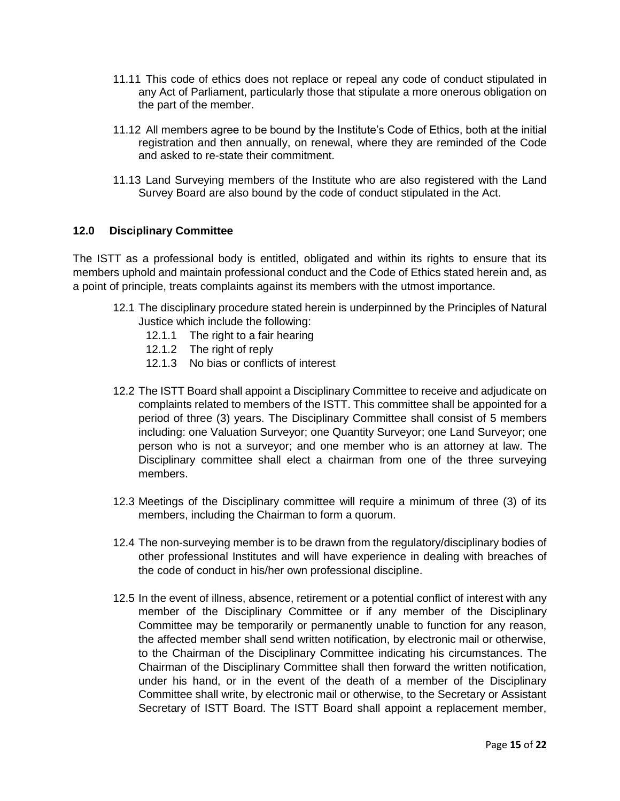- 11.11 This code of ethics does not replace or repeal any code of conduct stipulated in any Act of Parliament, particularly those that stipulate a more onerous obligation on the part of the member.
- 11.12 All members agree to be bound by the Institute's Code of Ethics, both at the initial registration and then annually, on renewal, where they are reminded of the Code and asked to re-state their commitment.
- 11.13 Land Surveying members of the Institute who are also registered with the Land Survey Board are also bound by the code of conduct stipulated in the Act.

# **12.0 Disciplinary Committee**

The ISTT as a professional body is entitled, obligated and within its rights to ensure that its members uphold and maintain professional conduct and the Code of Ethics stated herein and, as a point of principle, treats complaints against its members with the utmost importance.

- 12.1 The disciplinary procedure stated herein is underpinned by the Principles of Natural Justice which include the following:
	- 12.1.1 The right to a fair hearing
	- 12.1.2 The right of reply
	- 12.1.3 No bias or conflicts of interest
- 12.2 The ISTT Board shall appoint a Disciplinary Committee to receive and adjudicate on complaints related to members of the ISTT. This committee shall be appointed for a period of three (3) years. The Disciplinary Committee shall consist of 5 members including: one Valuation Surveyor; one Quantity Surveyor; one Land Surveyor; one person who is not a surveyor; and one member who is an attorney at law. The Disciplinary committee shall elect a chairman from one of the three surveying members.
- 12.3 Meetings of the Disciplinary committee will require a minimum of three (3) of its members, including the Chairman to form a quorum.
- 12.4 The non-surveying member is to be drawn from the regulatory/disciplinary bodies of other professional Institutes and will have experience in dealing with breaches of the code of conduct in his/her own professional discipline.
- 12.5 In the event of illness, absence, retirement or a potential conflict of interest with any member of the Disciplinary Committee or if any member of the Disciplinary Committee may be temporarily or permanently unable to function for any reason, the affected member shall send written notification, by electronic mail or otherwise, to the Chairman of the Disciplinary Committee indicating his circumstances. The Chairman of the Disciplinary Committee shall then forward the written notification, under his hand, or in the event of the death of a member of the Disciplinary Committee shall write, by electronic mail or otherwise, to the Secretary or Assistant Secretary of ISTT Board. The ISTT Board shall appoint a replacement member,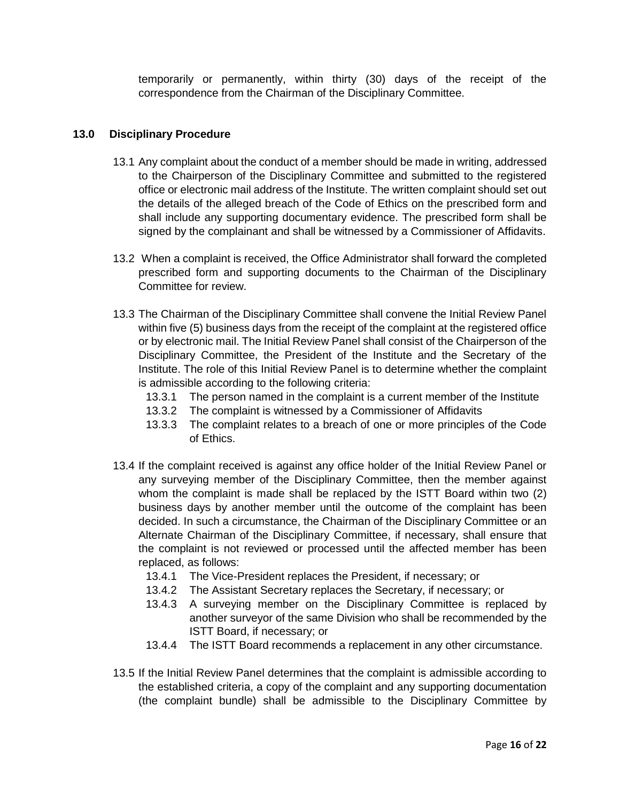temporarily or permanently, within thirty (30) days of the receipt of the correspondence from the Chairman of the Disciplinary Committee.

# **13.0 Disciplinary Procedure**

- 13.1 Any complaint about the conduct of a member should be made in writing, addressed to the Chairperson of the Disciplinary Committee and submitted to the registered office or electronic mail address of the Institute. The written complaint should set out the details of the alleged breach of the Code of Ethics on the prescribed form and shall include any supporting documentary evidence. The prescribed form shall be signed by the complainant and shall be witnessed by a Commissioner of Affidavits.
- 13.2 When a complaint is received, the Office Administrator shall forward the completed prescribed form and supporting documents to the Chairman of the Disciplinary Committee for review.
- 13.3 The Chairman of the Disciplinary Committee shall convene the Initial Review Panel within five (5) business days from the receipt of the complaint at the registered office or by electronic mail. The Initial Review Panel shall consist of the Chairperson of the Disciplinary Committee, the President of the Institute and the Secretary of the Institute. The role of this Initial Review Panel is to determine whether the complaint is admissible according to the following criteria:
	- 13.3.1 The person named in the complaint is a current member of the Institute
	- 13.3.2 The complaint is witnessed by a Commissioner of Affidavits
	- 13.3.3 The complaint relates to a breach of one or more principles of the Code of Ethics.
- 13.4 If the complaint received is against any office holder of the Initial Review Panel or any surveying member of the Disciplinary Committee, then the member against whom the complaint is made shall be replaced by the ISTT Board within two (2) business days by another member until the outcome of the complaint has been decided. In such a circumstance, the Chairman of the Disciplinary Committee or an Alternate Chairman of the Disciplinary Committee, if necessary, shall ensure that the complaint is not reviewed or processed until the affected member has been replaced, as follows:
	- 13.4.1 The Vice-President replaces the President, if necessary; or
	- 13.4.2 The Assistant Secretary replaces the Secretary, if necessary; or
	- 13.4.3 A surveying member on the Disciplinary Committee is replaced by another surveyor of the same Division who shall be recommended by the ISTT Board, if necessary; or
	- 13.4.4 The ISTT Board recommends a replacement in any other circumstance.
- 13.5 If the Initial Review Panel determines that the complaint is admissible according to the established criteria, a copy of the complaint and any supporting documentation (the complaint bundle) shall be admissible to the Disciplinary Committee by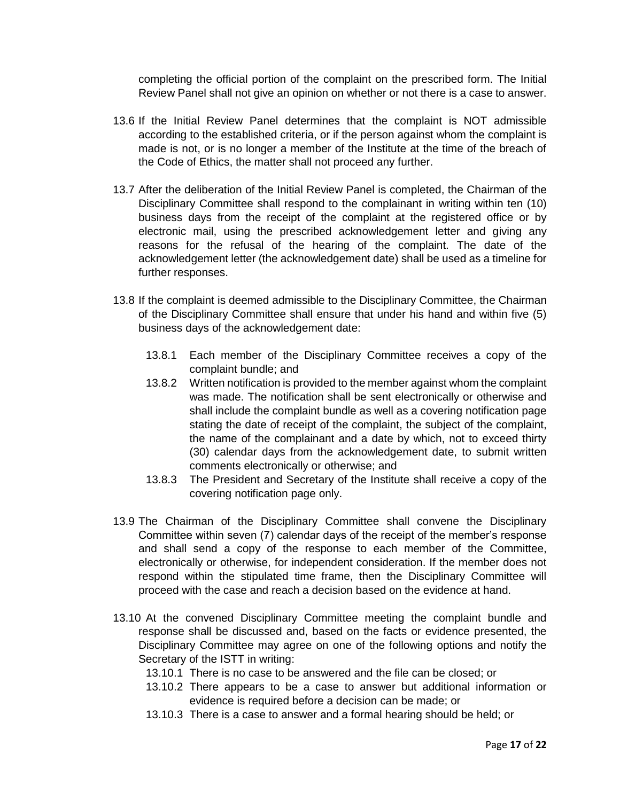completing the official portion of the complaint on the prescribed form. The Initial Review Panel shall not give an opinion on whether or not there is a case to answer.

- 13.6 If the Initial Review Panel determines that the complaint is NOT admissible according to the established criteria, or if the person against whom the complaint is made is not, or is no longer a member of the Institute at the time of the breach of the Code of Ethics, the matter shall not proceed any further.
- 13.7 After the deliberation of the Initial Review Panel is completed, the Chairman of the Disciplinary Committee shall respond to the complainant in writing within ten (10) business days from the receipt of the complaint at the registered office or by electronic mail, using the prescribed acknowledgement letter and giving any reasons for the refusal of the hearing of the complaint. The date of the acknowledgement letter (the acknowledgement date) shall be used as a timeline for further responses.
- 13.8 If the complaint is deemed admissible to the Disciplinary Committee, the Chairman of the Disciplinary Committee shall ensure that under his hand and within five (5) business days of the acknowledgement date:
	- 13.8.1 Each member of the Disciplinary Committee receives a copy of the complaint bundle; and
	- 13.8.2 Written notification is provided to the member against whom the complaint was made. The notification shall be sent electronically or otherwise and shall include the complaint bundle as well as a covering notification page stating the date of receipt of the complaint, the subject of the complaint, the name of the complainant and a date by which, not to exceed thirty (30) calendar days from the acknowledgement date, to submit written comments electronically or otherwise; and
	- 13.8.3 The President and Secretary of the Institute shall receive a copy of the covering notification page only.
- 13.9 The Chairman of the Disciplinary Committee shall convene the Disciplinary Committee within seven (7) calendar days of the receipt of the member's response and shall send a copy of the response to each member of the Committee, electronically or otherwise, for independent consideration. If the member does not respond within the stipulated time frame, then the Disciplinary Committee will proceed with the case and reach a decision based on the evidence at hand.
- 13.10 At the convened Disciplinary Committee meeting the complaint bundle and response shall be discussed and, based on the facts or evidence presented, the Disciplinary Committee may agree on one of the following options and notify the Secretary of the ISTT in writing:
	- 13.10.1 There is no case to be answered and the file can be closed; or
	- 13.10.2 There appears to be a case to answer but additional information or evidence is required before a decision can be made; or
	- 13.10.3 There is a case to answer and a formal hearing should be held; or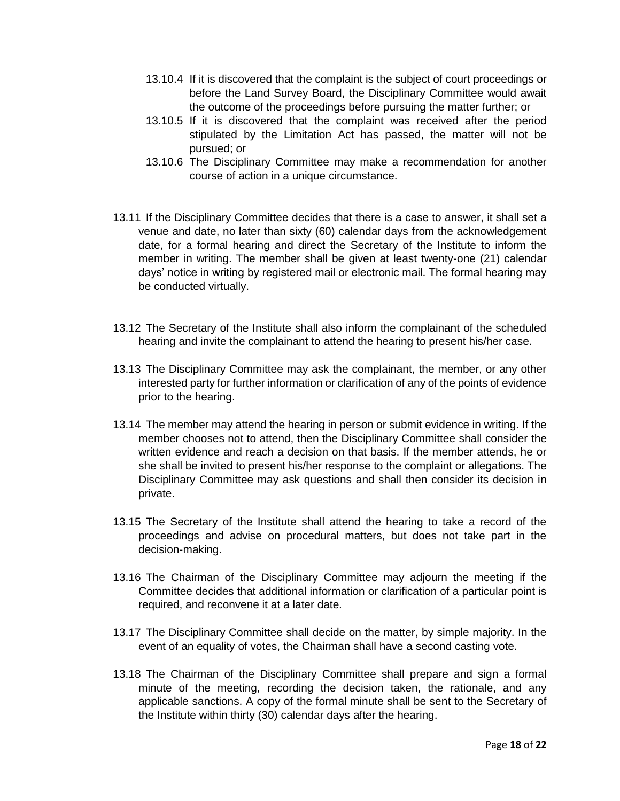- 13.10.4 If it is discovered that the complaint is the subject of court proceedings or before the Land Survey Board, the Disciplinary Committee would await the outcome of the proceedings before pursuing the matter further; or
- 13.10.5 If it is discovered that the complaint was received after the period stipulated by the Limitation Act has passed, the matter will not be pursued; or
- 13.10.6 The Disciplinary Committee may make a recommendation for another course of action in a unique circumstance.
- 13.11 If the Disciplinary Committee decides that there is a case to answer, it shall set a venue and date, no later than sixty (60) calendar days from the acknowledgement date, for a formal hearing and direct the Secretary of the Institute to inform the member in writing. The member shall be given at least twenty-one (21) calendar days' notice in writing by registered mail or electronic mail. The formal hearing may be conducted virtually.
- 13.12 The Secretary of the Institute shall also inform the complainant of the scheduled hearing and invite the complainant to attend the hearing to present his/her case.
- 13.13 The Disciplinary Committee may ask the complainant, the member, or any other interested party for further information or clarification of any of the points of evidence prior to the hearing.
- 13.14 The member may attend the hearing in person or submit evidence in writing. If the member chooses not to attend, then the Disciplinary Committee shall consider the written evidence and reach a decision on that basis. If the member attends, he or she shall be invited to present his/her response to the complaint or allegations. The Disciplinary Committee may ask questions and shall then consider its decision in private.
- 13.15 The Secretary of the Institute shall attend the hearing to take a record of the proceedings and advise on procedural matters, but does not take part in the decision-making.
- 13.16 The Chairman of the Disciplinary Committee may adjourn the meeting if the Committee decides that additional information or clarification of a particular point is required, and reconvene it at a later date.
- 13.17 The Disciplinary Committee shall decide on the matter, by simple majority. In the event of an equality of votes, the Chairman shall have a second casting vote.
- 13.18 The Chairman of the Disciplinary Committee shall prepare and sign a formal minute of the meeting, recording the decision taken, the rationale, and any applicable sanctions. A copy of the formal minute shall be sent to the Secretary of the Institute within thirty (30) calendar days after the hearing.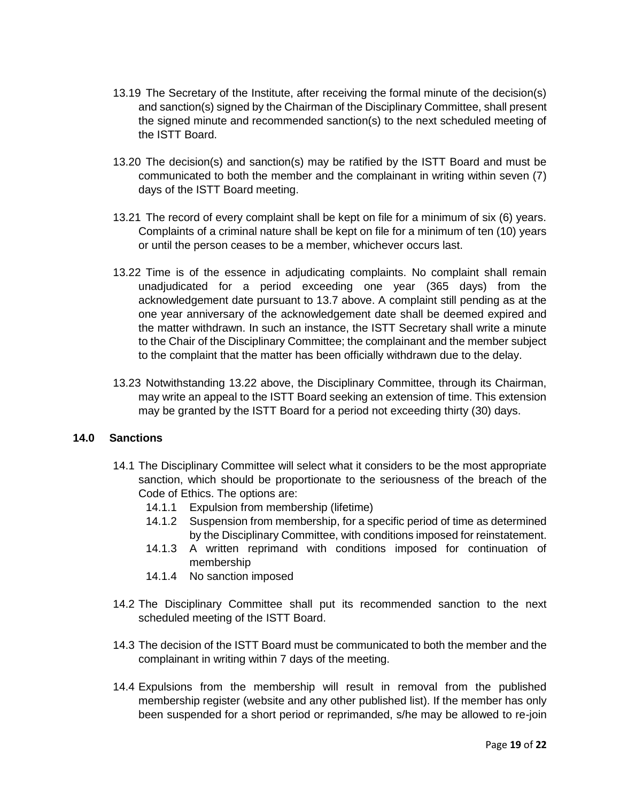- 13.19 The Secretary of the Institute, after receiving the formal minute of the decision(s) and sanction(s) signed by the Chairman of the Disciplinary Committee, shall present the signed minute and recommended sanction(s) to the next scheduled meeting of the ISTT Board.
- 13.20 The decision(s) and sanction(s) may be ratified by the ISTT Board and must be communicated to both the member and the complainant in writing within seven (7) days of the ISTT Board meeting.
- 13.21 The record of every complaint shall be kept on file for a minimum of six (6) years. Complaints of a criminal nature shall be kept on file for a minimum of ten (10) years or until the person ceases to be a member, whichever occurs last.
- 13.22 Time is of the essence in adjudicating complaints. No complaint shall remain unadjudicated for a period exceeding one year (365 days) from the acknowledgement date pursuant to 13.7 above. A complaint still pending as at the one year anniversary of the acknowledgement date shall be deemed expired and the matter withdrawn. In such an instance, the ISTT Secretary shall write a minute to the Chair of the Disciplinary Committee; the complainant and the member subject to the complaint that the matter has been officially withdrawn due to the delay.
- 13.23 Notwithstanding 13.22 above, the Disciplinary Committee, through its Chairman, may write an appeal to the ISTT Board seeking an extension of time. This extension may be granted by the ISTT Board for a period not exceeding thirty (30) days.

## **14.0 Sanctions**

- 14.1 The Disciplinary Committee will select what it considers to be the most appropriate sanction, which should be proportionate to the seriousness of the breach of the Code of Ethics. The options are:
	- 14.1.1 Expulsion from membership (lifetime)
	- 14.1.2 Suspension from membership, for a specific period of time as determined by the Disciplinary Committee, with conditions imposed for reinstatement.
	- 14.1.3 A written reprimand with conditions imposed for continuation of membership
	- 14.1.4 No sanction imposed
- 14.2 The Disciplinary Committee shall put its recommended sanction to the next scheduled meeting of the ISTT Board.
- 14.3 The decision of the ISTT Board must be communicated to both the member and the complainant in writing within 7 days of the meeting.
- 14.4 Expulsions from the membership will result in removal from the published membership register (website and any other published list). If the member has only been suspended for a short period or reprimanded, s/he may be allowed to re-join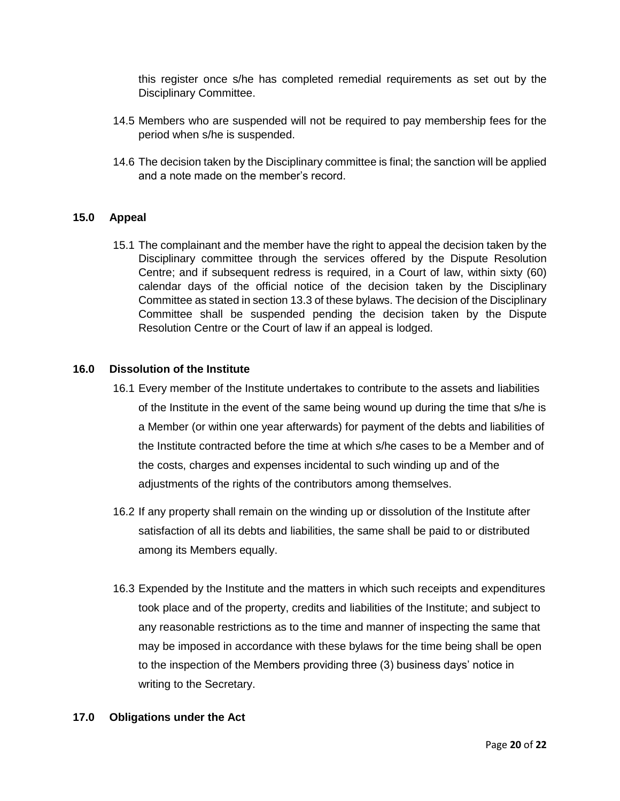this register once s/he has completed remedial requirements as set out by the Disciplinary Committee.

- 14.5 Members who are suspended will not be required to pay membership fees for the period when s/he is suspended.
- 14.6 The decision taken by the Disciplinary committee is final; the sanction will be applied and a note made on the member's record.

# **15.0 Appeal**

15.1 The complainant and the member have the right to appeal the decision taken by the Disciplinary committee through the services offered by the Dispute Resolution Centre; and if subsequent redress is required, in a Court of law, within sixty (60) calendar days of the official notice of the decision taken by the Disciplinary Committee as stated in section 13.3 of these bylaws. The decision of the Disciplinary Committee shall be suspended pending the decision taken by the Dispute Resolution Centre or the Court of law if an appeal is lodged.

## **16.0 Dissolution of the Institute**

- 16.1 Every member of the Institute undertakes to contribute to the assets and liabilities of the Institute in the event of the same being wound up during the time that s/he is a Member (or within one year afterwards) for payment of the debts and liabilities of the Institute contracted before the time at which s/he cases to be a Member and of the costs, charges and expenses incidental to such winding up and of the adjustments of the rights of the contributors among themselves.
- 16.2 If any property shall remain on the winding up or dissolution of the Institute after satisfaction of all its debts and liabilities, the same shall be paid to or distributed among its Members equally.
- 16.3 Expended by the Institute and the matters in which such receipts and expenditures took place and of the property, credits and liabilities of the Institute; and subject to any reasonable restrictions as to the time and manner of inspecting the same that may be imposed in accordance with these bylaws for the time being shall be open to the inspection of the Members providing three (3) business days' notice in writing to the Secretary.

## **17.0 Obligations under the Act**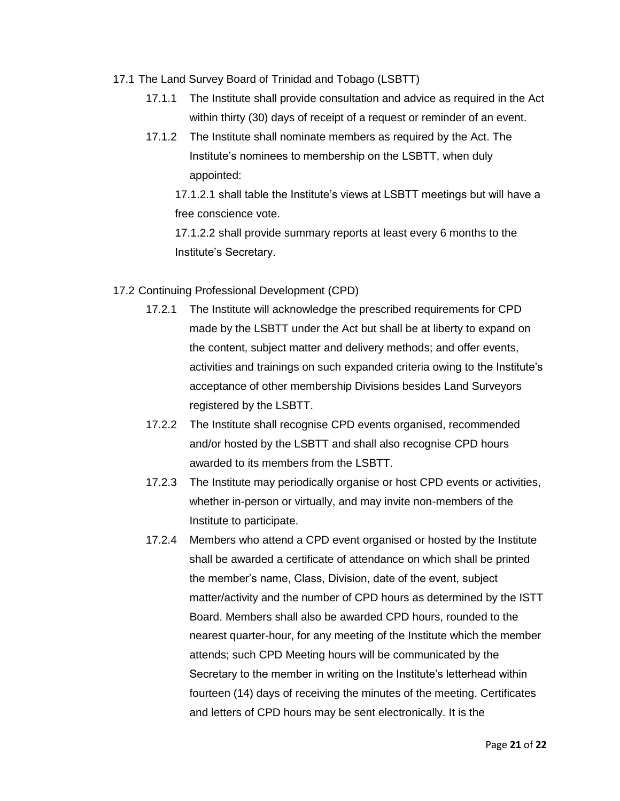- 17.1 The Land Survey Board of Trinidad and Tobago (LSBTT)
	- 17.1.1 The Institute shall provide consultation and advice as required in the Act within thirty (30) days of receipt of a request or reminder of an event.
	- 17.1.2 The Institute shall nominate members as required by the Act. The Institute's nominees to membership on the LSBTT, when duly appointed:

17.1.2.1 shall table the Institute's views at LSBTT meetings but will have a free conscience vote.

17.1.2.2 shall provide summary reports at least every 6 months to the Institute's Secretary.

- 17.2 Continuing Professional Development (CPD)
	- 17.2.1 The Institute will acknowledge the prescribed requirements for CPD made by the LSBTT under the Act but shall be at liberty to expand on the content, subject matter and delivery methods; and offer events, activities and trainings on such expanded criteria owing to the Institute's acceptance of other membership Divisions besides Land Surveyors registered by the LSBTT.
	- 17.2.2 The Institute shall recognise CPD events organised, recommended and/or hosted by the LSBTT and shall also recognise CPD hours awarded to its members from the LSBTT.
	- 17.2.3 The Institute may periodically organise or host CPD events or activities, whether in-person or virtually, and may invite non-members of the Institute to participate.
	- 17.2.4 Members who attend a CPD event organised or hosted by the Institute shall be awarded a certificate of attendance on which shall be printed the member's name, Class, Division, date of the event, subject matter/activity and the number of CPD hours as determined by the ISTT Board. Members shall also be awarded CPD hours, rounded to the nearest quarter-hour, for any meeting of the Institute which the member attends; such CPD Meeting hours will be communicated by the Secretary to the member in writing on the Institute's letterhead within fourteen (14) days of receiving the minutes of the meeting. Certificates and letters of CPD hours may be sent electronically. It is the